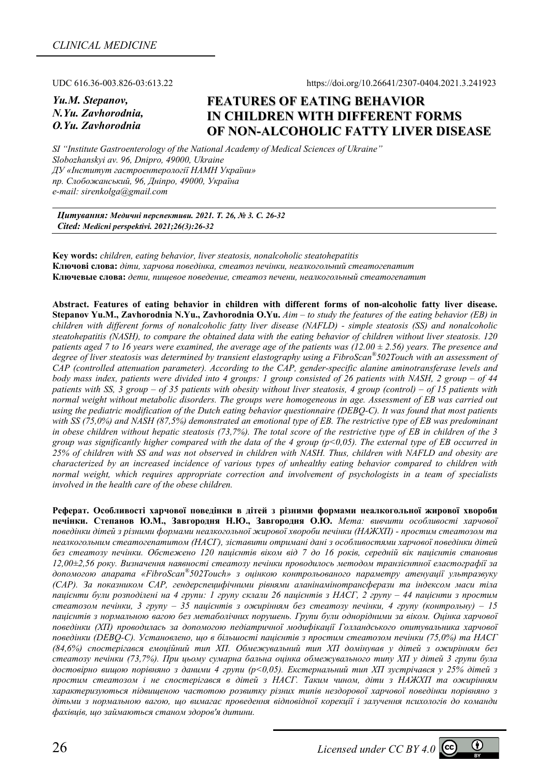UDC 616.36-003.826-03:613.22 https://doi.org/10.26641/2307-0404.2021.3.241923

*Yu.M. Stepanov, N.Yu. Zavhorodnia, O.Yu. Zavhorodnia* 

## **FEATURES OF EATING BEHAVIOR IN CHILDREN WITH DIFFERENT FORMS OF NON-ALCOHOLIC FATTY LIVER DISEASE**

*SI "Institute Gastroenterology of the National Academy of Medical Sciences of Ukraine" Slobozhanskyi av. 96, Dnipro, 49000, Ukraine ДУ «Інститут гастроентерології НАМН України» пр. Слобожанський, 96, Дніпро, 49000, Україна e-mail: sirenkolga@gmail.com* 

*Цитування: Медичні перспективи. 2021. Т. 26, № 3. С. 26-32 Cited: Medicni perspektivi. 2021;26(3):26-32*

**Key words:** *children, eating behavior, liver steatosis, nonalcoholic steatohepatitis*  **Ключові слова:** *діти, харчова поведінка, стеатоз печінки, неалкогольний стеатогепатит* **Ключевые слова:** *дети, пищевое поведение, стеатоз печени, неалкогольный стеатогепатит*

**Abstract. Features of eating behavior in children with different forms of non-alcoholic fatty liver disease. Stepanov Yu.M., Zavhorodnia N.Yu., Zavhorodnia O.Yu.** *Aim – to study the features of the eating behavior (EB) in children with different forms of nonalcoholic fatty liver disease (NAFLD) - simple steatosis (SS) and nonalcoholic steatohepatitis (NASH), to compare the obtained data with the eating behavior of children without liver steatosis. 120 patients aged 7 to 16 years were examined, the average age of the patients was (12.00 ± 2.56) years. The presence and degree of liver steatosis was determined by transient elastography using a FibroScan®502Touch with an assessment of CAP (controlled attenuation parameter). According to the CAP, gender-specific alanine aminotransferase levels and body mass index, patients were divided into 4 groups: 1 group consisted of 26 patients with NASH, 2 group – of 44 patients with SS, 3 group – of 35 patients with obesity without liver steatosis, 4 group (control) – of 15 patients with normal weight without metabolic disorders. The groups were homogeneous in age. Assessment of EB was carried out using the pediatric modification of the Dutch eating behavior questionnaire (DEBQ-C). It was found that most patients with SS (75,0%) and NASH (87,5%) demonstrated an emotional type of EB. The restrictive type of EB was predominant in obese children without hepatic steatosis (73,7%). The total score of the restrictive type of EB in children of the 3 group was significantly higher compared with the data of the 4 group (p<0,05). The external type of EB occurred in 25% of children with SS and was not observed in children with NASH. Thus, children with NAFLD and obesity are characterized by an increased incidence of various types of unhealthy eating behavior compared to children with normal weight, which requires appropriate correction and involvement of psychologists in a team of specialists involved in the health care of the obese children.* 

**Реферат. Особливості харчової поведінки в дітей з різними формами неалкогольної жирової хвороби** печінки. Степанов Ю.М., Завгородня Н.Ю., Завгородня О.Ю. Мета: вивчити особливості харчової *поведінки дітей з різними формами неалкогольної жирової хвороби печінки (НАЖХП) - простим стеатозом та неалкогольним стеатогепатитом (НАСГ), зіставити отримані дані з особливостями харчової поведінки дітей* без стеатозу печінки. Обстежено 120 пацієнтів віком від 7 до 16 років, середній вік пацієнтів становив *12,00±2,56 року. Визначення наявності стеатозу печінки проводилось методом транзієнтної еластографії за допомогою апарата «FibroScan®502Touch» з оцінкою контрольованого параметру атенуації ультразвуку (САР). За показником САР, гендерспецифічними рівнями аланінамінотрансферази та індексом маси тіла* пацієнти були розподілені на 4 групи: 1 групу склали 26 пацієнтів з НАСГ, 2 групу – 44 пацієнти з простим *стеатозом печінки, 3 групу – 35 пацієнтів з ожирінням без стеатозу печінки, 4 групу (контрольну) – 15 пацієнтів з нормальною вагою без метаболічних порушень. Групи були однорідними за віком. Оцінка харчової поведінки (ХП) проводилась за допомогою педіатричної модифікації Голландського опитувальника харчової поведінки (DEBQ-С). Установлено, що в більшості пацієнтів з простим стеатозом печінки (75,0%) та НАСГ (84,6%) спостерігався емоційний тип ХП. Обмежувальний тип ХП домінував у дітей з ожирінням без стеатозу печінки (73,7%). При цьому сумарна бальна оцінка обмежувального типу ХП у дітей 3 групи була достовірно вищою порівняно з даними 4 групи (p<0,05). Екстернальний тип ХП зустрічався у 25% дітей з простим стеатозом і не спостерігався в дітей з НАСГ. Таким чином, діти з НАЖХП та ожирінням характеризуються підвищеною частотою розвитку різних типів нездорової харчової поведінки порівняно з дітьми з нормальною вагою, що вимагає проведення відповідної корекції і залучення психологів до команди фахівців, що займаються станом здоров'я дитини.*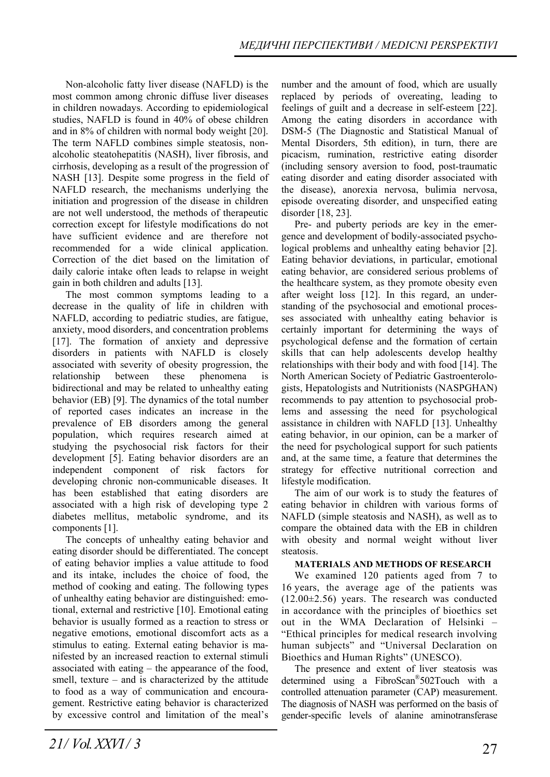Non-alcoholic fatty liver disease (NAFLD) is the most common among chronic diffuse liver diseases in children nowadays. According to epidemiological studies, NAFLD is found in 40% of obese children and in 8% of children with normal body weight [20]. The term NAFLD combines simple steatosis, nonalcoholic steatohepatitis (NASH), liver fibrosis, and cirrhosis, developing as a result of the progression of NASH [13]. Despite some progress in the field of NAFLD research, the mechanisms underlying the initiation and progression of the disease in children are not well understood, the methods of therapeutic correction except for lifestyle modifications do not have sufficient evidence and are therefore not recommended for a wide clinical application. Correction of the diet based on the limitation of daily calorie intake often leads to relapse in weight gain in both children and adults [13].

The most common symptoms leading to a decrease in the quality of life in children with NAFLD, according to pediatric studies, are fatigue, anxiety, mood disorders, and concentration problems [17]. The formation of anxiety and depressive disorders in patients with NAFLD is closely associated with severity of obesity progression, the relationship between these phenomena is bidirectional and may be related to unhealthy eating behavior (EB) [9]. The dynamics of the total number of reported cases indicates an increase in the prevalence of EB disorders among the general population, which requires research aimed at studying the psychosocial risk factors for their development [5]. Eating behavior disorders are an independent component of risk factors for developing chronic non-communicable diseases. It has been established that eating disorders are associated with a high risk of developing type 2 diabetes mellitus, metabolic syndrome, and its components [1].

The concepts of unhealthy eating behavior and eating disorder should be differentiated. The concept of eating behavior implies a value attitude to food and its intake, includes the choice of food, the method of cooking and eating. The following types of unhealthy eating behavior are distinguished: emotional, external and restrictive [10]. Emotional eating behavior is usually formed as a reaction to stress or negative emotions, emotional discomfort acts as a stimulus to eating. External eating behavior is manifested by an increased reaction to external stimuli associated with eating – the appearance of the food, smell, texture – and is characterized by the attitude to food as a way of communication and encouragement. Restrictive eating behavior is characterized by excessive control and limitation of the meal's

number and the amount of food, which are usually replaced by periods of overeating, leading to feelings of guilt and a decrease in self-esteem [22]. Among the eating disorders in accordance with DSM-5 (The Diagnostic and Statistical Manual of Mental Disorders, 5th edition), in turn, there are picacism, rumination, restrictive eating disorder (including sensory aversion to food, post-traumatic eating disorder and eating disorder associated with the disease), anorexia nervosa, bulimia nervosa, episode overeating disorder, and unspecified eating disorder [18, 23].

Pre- and puberty periods are key in the emergence and development of bodily-associated psychological problems and unhealthy eating behavior [2]. Eating behavior deviations, in particular, emotional eating behavior, are considered serious problems of the healthcare system, as they promote obesity even after weight loss [12]. In this regard, an understanding of the psychosocial and emotional processes associated with unhealthy eating behavior is certainly important for determining the ways of psychological defense and the formation of certain skills that can help adolescents develop healthy relationships with their body and with food [14]. The North American Society of Pediatric Gastroenterologists, Hepatologists and Nutritionists (NASPGHAN) recommends to pay attention to psychosocial problems and assessing the need for psychological assistance in children with NAFLD [13]. Unhealthy eating behavior, in our opinion, can be a marker of the need for psychological support for such patients and, at the same time, a feature that determines the strategy for effective nutritional correction and lifestyle modification.

The aim of our work is to study the features of eating behavior in children with various forms of NAFLD (simple steatosis and NASH), as well as to compare the obtained data with the EB in children with obesity and normal weight without liver steatosis.

### **MATERIALS AND METHODS OF RESEARCH**

We examined 120 patients aged from 7 to 16 years, the average age of the patients was (12.00±2.56) years. The research was conducted in accordance with the principles of bioethics set out in the WMA Declaration of Helsinki "Ethical principles for medical research involving human subjects" and "Universal Declaration on Bioethics and Human Rights" (UNESCO).

The presence and extent of liver steatosis was determined using a FibroScan®502Touch with a controlled attenuation parameter (CAP) measurement. The diagnosis of NASH was performed on the basis of gender-specific levels of alanine aminotransferase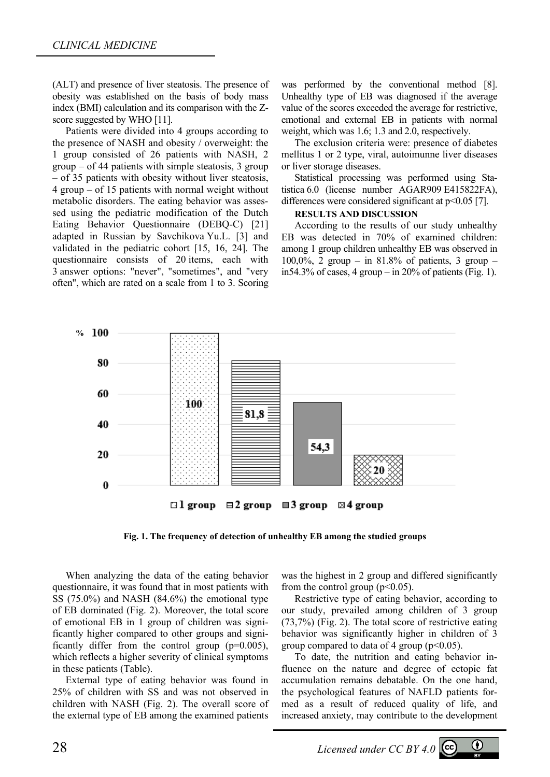(ALT) and presence of liver steatosis. The presence of obesity was established on the basis of body mass index (BMI) calculation and its comparison with the Zscore suggested by WHO [11].

Patients were divided into 4 groups according to the presence of NASH and obesity / overweight: the 1 group consisted of 26 patients with NASH, 2 group – of 44 patients with simple steatosis, 3 group – of 35 patients with obesity without liver steatosis, 4 group – of 15 patients with normal weight without metabolic disorders. The eating behavior was assessed using the pediatric modification of the Dutch Eating Behavior Questionnaire (DEBQ-C) [21] adapted in Russian by Savchikova Yu.L. [3] and validated in the pediatric cohort [15, 16, 24]. The questionnaire consists of 20 items, each with 3 answer options: "never", "sometimes", and "very often", which are rated on a scale from 1 to 3. Scoring was performed by the conventional method [8]. Unhealthy type of EB was diagnosed if the average value of the scores exceeded the average for restrictive, emotional and external EB in patients with normal weight, which was 1.6; 1.3 and 2.0, respectively.

The exclusion criteria were: presence of diabetes mellitus 1 or 2 type, viral, autoimunne liver diseases or liver storage diseases.

Statistical processing was performed using Statistica 6.0 (license number AGAR909 E415822FA), differences were considered significant at  $p<0.05$  [7].

#### **RESULTS AND DISCUSSION**

According to the results of our study unhealthy EB was detected in 70% of examined children: among 1 group children unhealthy EB was observed in 100,0%, 2 group – in 81.8% of patients, 3 group – in54.3% of cases, 4 group – in 20% of patients (Fig. 1).



**Fig. 1. The frequency of detection of unhealthy EB among the studied groups** 

When analyzing the data of the eating behavior questionnaire, it was found that in most patients with SS (75.0%) and NASH (84.6%) the emotional type of EB dominated (Fig. 2). Moreover, the total score of emotional EB in 1 group of children was significantly higher compared to other groups and significantly differ from the control group  $(p=0.005)$ , which reflects a higher severity of clinical symptoms in these patients (Table).

External type of eating behavior was found in 25% of children with SS and was not observed in children with NASH (Fig. 2). The overall score of the external type of EB among the examined patients was the highest in 2 group and differed significantly from the control group ( $p<0.05$ ).

Restrictive type of eating behavior, according to our study, prevailed among children of 3 group (73,7%) (Fig. 2). The total score of restrictive eating behavior was significantly higher in children of 3 group compared to data of 4 group ( $p<0.05$ ).

To date, the nutrition and eating behavior influence on the nature and degree of ectopic fat accumulation remains debatable. On the one hand, the psychological features of NAFLD patients formed as a result of reduced quality of life, and increased anxiety, may contribute to the development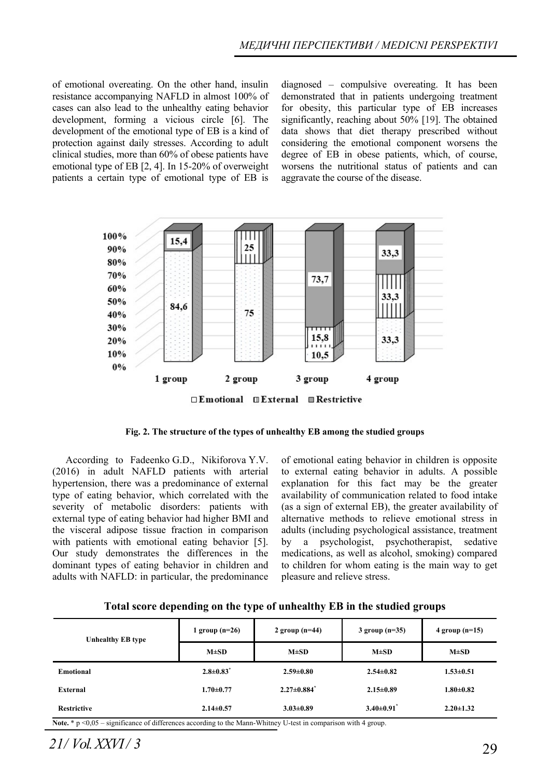of emotional overeating. On the other hand, insulin resistance accompanying NAFLD in almost 100% of cases can also lead to the unhealthy eating behavior development, forming a vicious circle [6]. The development of the emotional type of EB is a kind of protection against daily stresses. According to adult clinical studies, more than 60% of obese patients have emotional type of EB [2, 4]. In 15-20% of overweight patients a certain type of emotional type of EB is

diagnosed – compulsive overeating. It has been demonstrated that in patients undergoing treatment for obesity, this particular type of EB increases significantly, reaching about 50% [19]. The obtained data shows that diet therapy prescribed without considering the emotional component worsens the degree of EB in obese patients, which, of course, worsens the nutritional status of patients and can aggravate the course of the disease.



**Fig. 2. The structure of the types of unhealthy EB among the studied groups** 

According to Fadeenko G.D., Nikiforova Y.V. (2016) in adult NAFLD patients with arterial hypertension, there was a predominance of external type of eating behavior, which correlated with the severity of metabolic disorders: patients with external type of eating behavior had higher BMI and the visceral adipose tissue fraction in comparison with patients with emotional eating behavior [5]. Our study demonstrates the differences in the dominant types of eating behavior in children and adults with NAFLD: in particular, the predominance

of emotional eating behavior in children is opposite to external eating behavior in adults. A possible explanation for this fact may be the greater availability of communication related to food intake (as a sign of external EB), the greater availability of alternative methods to relieve emotional stress in adults (including psychological assistance, treatment by a psychologist, psychotherapist, sedative medications, as well as alcohol, smoking) compared to children for whom eating is the main way to get pleasure and relieve stress.

**Total score depending on the type of unhealthy EB in the studied groups** 

| <b>Unhealthy EB type</b> | 1 group $(n=26)$            | 2 group $(n=44)$              | $3$ group (n= $35$ )       | $4$ group (n=15) |
|--------------------------|-----------------------------|-------------------------------|----------------------------|------------------|
|                          | $M\pm SD$                   | $M \pm SD$                    | $M \pm SD$                 | $M\pm SD$        |
| <b>Emotional</b>         | $2.8 \pm 0.83$ <sup>*</sup> | $2.59 \pm 0.80$               | $2.54 \pm 0.82$            | $1.53 \pm 0.51$  |
| External                 | $1.70 \pm 0.77$             | $2.27 \pm 0.884$ <sup>*</sup> | $2.15 \pm 0.89$            | $1.80 \pm 0.82$  |
| <b>Restrictive</b>       | $2.14 \pm 0.57$             | $3.03 \pm 0.89$               | $3.40\pm0.91$ <sup>*</sup> | $2.20 \pm 1.32$  |

**Note.** \* p <0,05 – significance of differences according to the Mann-Whitney U-test in comparison with 4 group.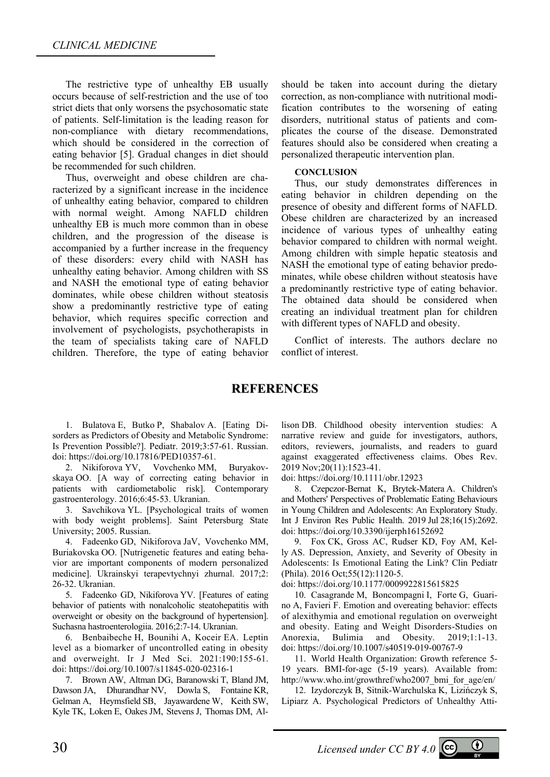The restrictive type of unhealthy EB usually occurs because of self-restriction and the use of too strict diets that only worsens the psychosomatic state of patients. Self-limitation is the leading reason for non-compliance with dietary recommendations, which should be considered in the correction of eating behavior [5]. Gradual changes in diet should be recommended for such children.

Thus, overweight and obese children are characterized by a significant increase in the incidence of unhealthy eating behavior, compared to children with normal weight. Among NAFLD children unhealthy EB is much more common than in obese children, and the progression of the disease is accompanied by a further increase in the frequency of these disorders: every child with NASH has unhealthy eating behavior. Among children with SS and NASH the emotional type of eating behavior dominates, while obese children without steatosis show a predominantly restrictive type of eating behavior, which requires specific correction and involvement of psychologists, psychotherapists in the team of specialists taking care of NAFLD children. Therefore, the type of eating behavior

should be taken into account during the dietary correction, as non-compliance with nutritional modification contributes to the worsening of eating disorders, nutritional status of patients and complicates the course of the disease. Demonstrated features should also be considered when creating a personalized therapeutic intervention plan.

#### **СONCLUSION**

Thus, our study demonstrates differences in eating behavior in children depending on the presence of obesity and different forms of NAFLD. Obese children are characterized by an increased incidence of various types of unhealthy eating behavior compared to children with normal weight. Among children with simple hepatic steatosis and NASH the emotional type of eating behavior predominates, while obese children without steatosis have a predominantly restrictive type of eating behavior. The obtained data should be considered when creating an individual treatment plan for children with different types of NAFLD and obesity.

Conflict of interests. The authors declare no conflict of interest.

## **REFERENCES**

1. Bulatova E, Butko P, Shabalov A. [Eating Disorders as Predictors of Obesity and Metabolic Syndrome: Is Prevention Possible?]. Pediatr. 2019;3:57-61. Russian. doi: https://doi.org/10.17816/PED10357-61.

2. Nikiforova YV, Vovchenko MM, Buryakovskaya OO. [A way of correcting eating behavior in patients with cardiometabolic risk]. Contemporary gastroenterology. 2016;6:45-53. Ukranian.

3. Savchikova YL. [Psychological traits of women with body weight problems]. Saint Petersburg State University; 2005. Russian.

4. Fadееnko GD, Nіkіforova JaV, Vovchenko MM, Buriakovska OO. [Nutrigenetic features and eating behavior are important components of modern personalized medicine]. Ukrainskyi terapevtychnyi zhurnal. 2017;2: 26-32. Ukranian.

5. Fadeenko GD, Nikiforova YV. [Features of eating behavior of patients with nonalcoholic steatohepatitis with overweight or obesity on the background of hypertension]. Suchasna hastroenterologiia. 2016;2:7-14. Ukranian.

6. Benbaibeche H, Bounihi A, Koceir EA. Leptin level as a biomarker of uncontrolled eating in obesity and overweight. Ir J Med Sci. 2021:190:155-61. doi: https://doi.org/10.1007/s11845-020-02316-1

7. Brown AW, Altman DG, Baranowski T, Bland JM, Dawson JA, Dhurandhar NV, Dowla S, Fontaine KR, Gelman A, Heymsfield SB, Jayawardene W, Keith SW, Kyle TK, Loken E, Oakes JM, Stevens J, Thomas DM, Al-

lison DB. Childhood obesity intervention studies: A narrative review and guide for investigators, authors, editors, reviewers, journalists, and readers to guard against exaggerated effectiveness claims. Obes Rev. 2019 Nov;20(11):1523-41.

doi: https://doi.org/10.1111/obr.12923

8. Czepczor-Bernat K, Brytek-Matera A. Children's and Mothers' Perspectives of Problematic Eating Behaviours in Young Children and Adolescents: An Exploratory Study. Int J Environ Res Public Health. 2019 Jul 28;16(15):2692. doi: https://doi.org/10.3390/ijerph16152692

9. Fox CK, Gross AC, Rudser KD, Foy AM, Kelly AS. Depression, Anxiety, and Severity of Obesity in Adolescents: Is Emotional Eating the Link? Clin Pediatr (Phila). 2016 Oct;55(12):1120-5.

doi: https://doi.org/10.1177/0009922815615825

10. Casagrande M, Boncompagni I, Forte G, Guarino A, Favieri F. Emotion and overeating behavior: effects of alexithymia and emotional regulation on overweight and obesity. Eating and Weight Disorders-Studies on Anorexia, Bulimia and Obesity. 2019;1:1-13. doi: https://doi.org/10.1007/s40519-019-00767-9

11. World Health Organization: Growth reference 5- 19 years. BMI-for-age (5-19 years). Available from: http://www.who.int/growthref/who2007\_bmi\_for\_age/en/

12. Izydorczyk B, Sitnik-Warchulska K, Lizińczyk S, Lipiarz A. Psychological Predictors of Unhealthy Atti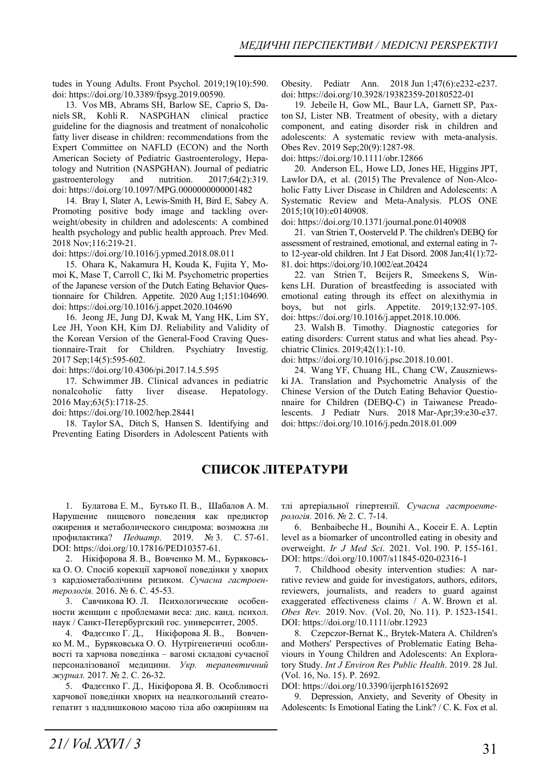tudes in Young Adults. Front Psychol. 2019;19(10):590. doi: https://doi.org/10.3389/fpsyg.2019.00590.

13. Vos MB, Abrams SH, Barlow SE, Caprio S, Daniels SR, Kohli R. NASPGHAN clinical practice guideline for the diagnosis and treatment of nonalcoholic fatty liver disease in children: recommendations from the Expert Committee on NAFLD (ECON) and the North American Society of Pediatric Gastroenterology, Hepatology and Nutrition (NASPGHAN). Journal of pediatric gastroenterology and nutrition. 2017;64(2):319. doi: https://doi.org/10.1097/MPG.0000000000001482

14. Bray I, Slater A, Lewis-Smith H, Bird E, Sabey A. Promoting positive body image and tackling overweight/obesity in children and adolescents: A combined health psychology and public health approach. Prev Med. 2018 Nov;116:219-21.

doi: https://doi.org/10.1016/j.ypmed.2018.08.011

15. Ohara K, Nakamura H, Kouda K, Fujita Y, Momoi K, Mase T, Carroll C, Iki M. Psychometric properties of the Japanese version of the Dutch Eating Behavior Questionnaire for Children. Appetite. 2020 Aug 1;151:104690. doi: https://doi.org/10.1016/j.appet.2020.104690

16. Jeong JE, Jung DJ, Kwak M, Yang HK, Lim SY, Lee JH, Yoon KH, Kim DJ. Reliability and Validity of the Korean Version of the General-Food Craving Questionnaire-Trait for Children. Psychiatry Investig. 2017 Sep;14(5):595-602.

doi: https://doi.org/10.4306/pi.2017.14.5.595

17. Schwimmer JB. Clinical advances in pediatric nonalcoholic fatty liver disease. Hepatology. 2016 May;63(5):1718-25.

doi: https://doi.org/10.1002/hep.28441

18. Taylor SA, Ditch S, Hansen S. Identifying and Preventing Eating Disorders in Adolescent Patients with Obesity. Pediatr Ann. 2018 Jun 1;47(6):e232-e237. doi: https://doi.org/10.3928/19382359-20180522-01

19. Jebeile H, Gow ML, Baur LA, Garnett SP, Paxton SJ, Lister NB. Treatment of obesity, with a dietary component, and eating disorder risk in children and adolescents: A systematic review with meta-analysis. Obes Rev. 2019 Sep;20(9):1287-98.

doi: https://doi.org/10.1111/obr.12866

20. Anderson EL, Howe LD, Jones HE, Higgins JPT, Lawlor DA, et al. (2015) The Prevalence of Non-Alcoholic Fatty Liver Disease in Children and Adolescents: A Systematic Review and Meta-Analysis. PLOS ONE 2015;10(10):e0140908.

doi: https://doi.org/10.1371/journal.pone.0140908

21. van Strien T, Oosterveld P. The children's DEBQ for assessment of restrained, emotional, and external eating in 7 to 12-year-old children. Int J Eat Disord. 2008 Jan;41(1):72- 81. doi: https://doi.org/10.1002/eat.20424

22. van Strien T, Beijers R, Smeekens S, Winkens LH. Duration of breastfeeding is associated with emotional eating through its effect on alexithymia in boys, but not girls. Appetite. 2019;132:97-105. doi: https://doi.org/10.1016/j.appet.2018.10.006.

23. Walsh B. Timothy. Diagnostic categories for eating disorders: Current status and what lies ahead. Psychiatric Clinics. 2019;42(1):1-10.

doi: https://doi.org/10.1016/j.psc.2018.10.001.

24. Wang YF, Chuang HL, Chang CW, Zauszniewski JA. Translation and Psychometric Analysis of the Chinese Version of the Dutch Eating Behavior Questionnaire for Children (DEBQ-C) in Taiwanese Preadolescents. J Pediatr Nurs. 2018 Mar-Apr;39:e30-e37. doi: https://doi.org/10.1016/j.pedn.2018.01.009

# **СПИСОК ЛІТЕРАТУРИ**

1. Булатова Е. М., Бутько П. В., Шабалов А. М. Нарушение пищевого поведения как предиктор ожирения и метаболического синдрома: возможна ли профилактика? *Педиатр*. 2019. № 3. C. 57-61. DOI: https://doi.org/10.17816/PED10357-61.

2. Нікіфорова Я. В., Вовченко М. М., Буряковська О. О. Спосіб корекції харчової поведінки у хворих з кардіометаболічним ризиком. *Сучасна гастроентерологія.* 2016. № 6. С. 45-53.

3. Савчикова Ю. Л. Психологические особенности женщин с проблемами веса: дис. канд. психол. наук / Санкт-Петербургский гос. университет, 2005.

4. Фадєєнко Г. Д., Нікіфорова Я. В., Вовченко М. М., Буряковська О. О. Нутрігенетичні особливості та харчова поведінка – вагомі складові сучасної персоналізованої медицини. *Укр. терапевтичний журнал.* 2017. № 2. С. 26-32.

5. Фадєєнко Г. Д., Нікіфорова Я. В. Особливості харчової поведінки хворих на неалкогольний стеатогепатит з надлишковою масою тіла або ожирінням на тлі артеріальної гіпертензії. *Сучасна гастроентерологія.* 2016. № 2. С. 7-14.

6. Benbaibeche H., Bounihi A., Koceir E. A. Leptin level as a biomarker of uncontrolled eating in obesity and overweight. *Ir J Med Sci*. 2021. Vol. 190. P. 155-161. DOI: https://doi.org/10.1007/s11845-020-02316-1

7. Childhood obesity intervention studies: A narrative review and guide for investigators, authors, editors, reviewers, journalists, and readers to guard against exaggerated effectiveness claims / A. W. Brown et al. *Obes Rev.* 2019. Nov. (Vol. 20, No. 11). P. 1523-1541. DOI: https://doi.org/10.1111/obr.12923

8. Czepczor-Bernat K., Brytek-Matera A. Children's and Mothers' Perspectives of Problematic Eating Behaviours in Young Children and Adolescents: An Exploratory Study. *Int J Environ Res Public Health*. 2019. 28 Jul. (Vol. 16, No. 15). P. 2692.

DOI: https://doi.org/10.3390/ijerph16152692

9. Depression, Anxiety, and Severity of Obesity in Adolescents: Is Emotional Eating the Link? / C. K. Fox et al.